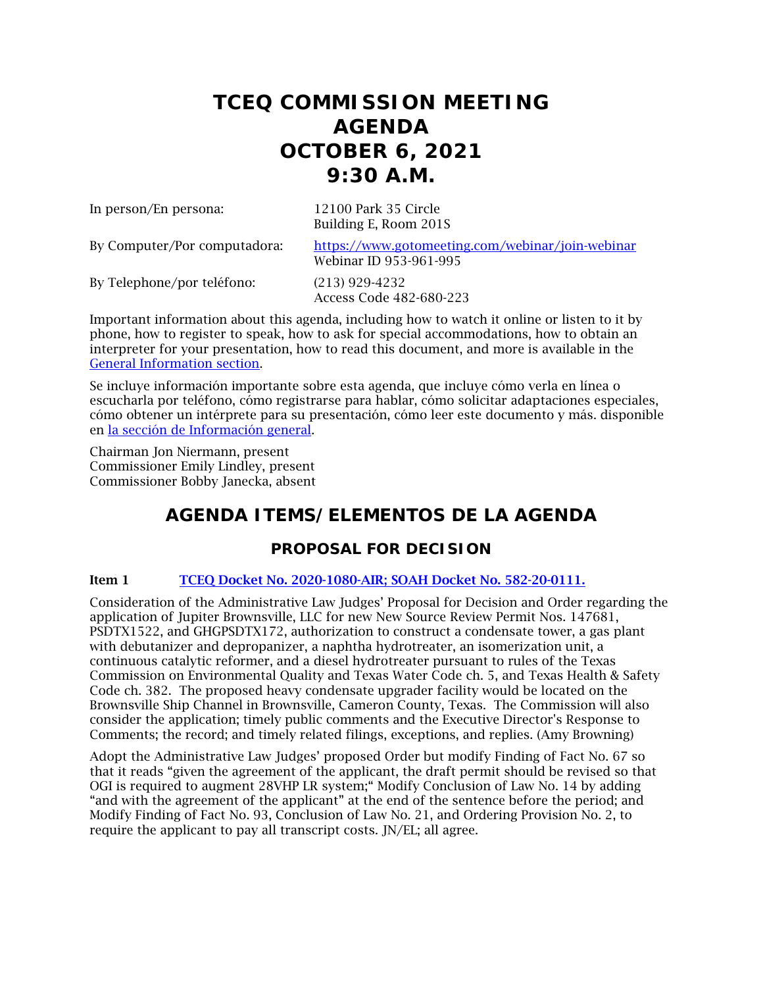# **TCEQ COMMISSION MEETING AGENDA OCTOBER 6, 2021 9:30 A.M.**

In person/En persona: 12100 Park 35 Circle

Building E, Room 201S

By Computer/Por computadora: <https://www.gotomeeting.com/webinar/join-webinar> Webinar ID 953-961-995

By Telephone/por teléfono: (213) 929-4232

Access Code 482-680-223

Important information about this agenda, including how to watch it online or listen to it by phone, how to register to speak, how to ask for special accommodations, how to obtain an interpreter for your presentation, how to read this document, and more is available in the [General Information section.](#page-6-0)

Se incluye información importante sobre esta agenda, que incluye cómo verla en línea o escucharla por teléfono, cómo registrarse para hablar, cómo solicitar adaptaciones especiales, cómo obtener un intérprete para su presentación, cómo leer este documento y más. disponible en [la sección de Información general.](#page-6-0)

Chairman Jon Niermann, present Commissioner Emily Lindley, present Commissioner Bobby Janecka, absent

# **AGENDA ITEMS/ELEMENTOS DE LA AGENDA**

# **PROPOSAL FOR DECISION**

### Item 1 [TCEQ Docket No. 2020-1080-AIR; SOAH Docket No. 582-20-0111.](http://www.tceq.texas.gov/assets/public/comm_exec/agendas/comm/backup/Agendas/2021/10-06-2021/jupiter.pdf)

Consideration of the Administrative Law Judges' Proposal for Decision and Order regarding the application of Jupiter Brownsville, LLC for new New Source Review Permit Nos. 147681, PSDTX1522, and GHGPSDTX172, authorization to construct a condensate tower, a gas plant with debutanizer and depropanizer, a naphtha hydrotreater, an isomerization unit, a continuous catalytic reformer, and a diesel hydrotreater pursuant to rules of the Texas Commission on Environmental Quality and Texas Water Code ch. 5, and Texas Health & Safety Code ch. 382. The proposed heavy condensate upgrader facility would be located on the Brownsville Ship Channel in Brownsville, Cameron County, Texas. The Commission will also consider the application; timely public comments and the Executive Director's Response to Comments; the record; and timely related filings, exceptions, and replies. (Amy Browning)

Adopt the Administrative Law Judges' proposed Order but modify Finding of Fact No. 67 so that it reads "given the agreement of the applicant, the draft permit should be revised so that OGI is required to augment 28VHP LR system;" Modify Conclusion of Law No. 14 by adding "and with the agreement of the applicant" at the end of the sentence before the period; and Modify Finding of Fact No. 93, Conclusion of Law No. 21, and Ordering Provision No. 2, to require the applicant to pay all transcript costs. JN/EL; all agree.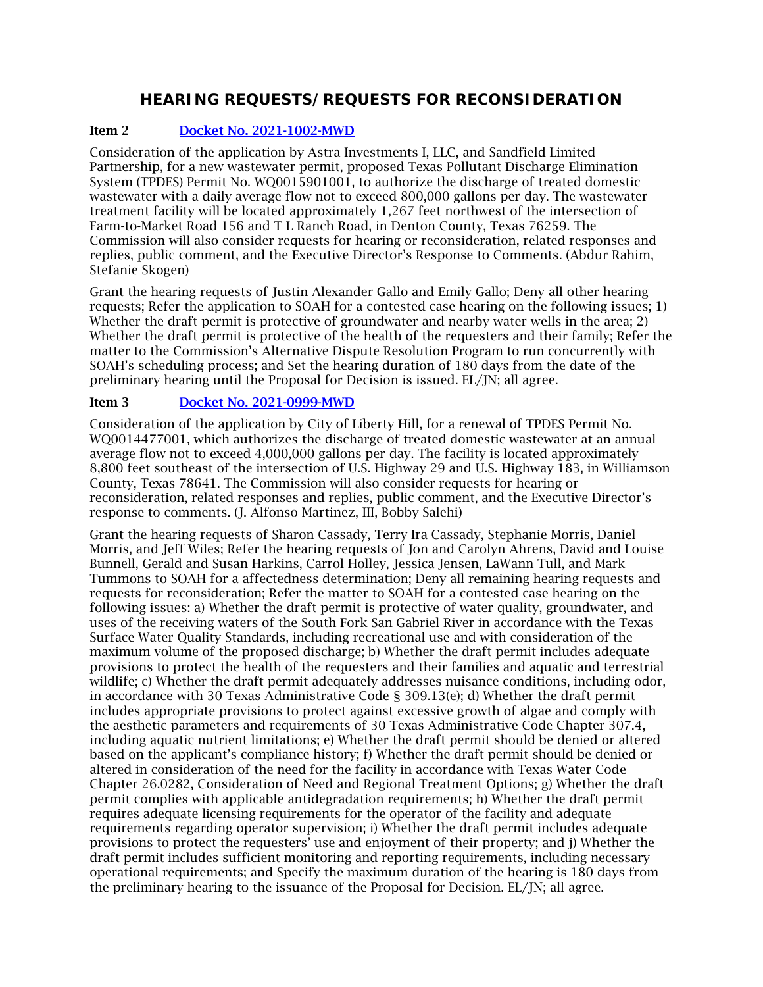# **HEARING REQUESTS/REQUESTS FOR RECONSIDERATION**

### Item 2 [Docket No. 2021-1002-MWD](http://www.tceq.texas.gov/assets/public/comm_exec/agendas/comm/backup/Agendas/2021/10-06-2021/astra.pdf)

Consideration of the application by Astra Investments I, LLC, and Sandfield Limited Partnership, for a new wastewater permit, proposed Texas Pollutant Discharge Elimination System (TPDES) Permit No. WQ0015901001, to authorize the discharge of treated domestic wastewater with a daily average flow not to exceed 800,000 gallons per day. The wastewater treatment facility will be located approximately 1,267 feet northwest of the intersection of Farm-to-Market Road 156 and T L Ranch Road, in Denton County, Texas 76259. The Commission will also consider requests for hearing or reconsideration, related responses and replies, public comment, and the Executive Director's Response to Comments. (Abdur Rahim, Stefanie Skogen)

Grant the hearing requests of Justin Alexander Gallo and Emily Gallo; Deny all other hearing requests; Refer the application to SOAH for a contested case hearing on the following issues; 1) Whether the draft permit is protective of groundwater and nearby water wells in the area; 2) Whether the draft permit is protective of the health of the requesters and their family; Refer the matter to the Commission's Alternative Dispute Resolution Program to run concurrently with SOAH's scheduling process; and Set the hearing duration of 180 days from the date of the preliminary hearing until the Proposal for Decision is issued. EL/JN; all agree.

### Item 3 [Docket No. 2021-0999-MWD](http://www.tceq.texas.gov/assets/public/comm_exec/agendas/comm/backup/Agendas/2021/10-06-2021/liberty.pdf)

Consideration of the application by City of Liberty Hill, for a renewal of TPDES Permit No. WQ0014477001, which authorizes the discharge of treated domestic wastewater at an annual average flow not to exceed 4,000,000 gallons per day. The facility is located approximately 8,800 feet southeast of the intersection of U.S. Highway 29 and U.S. Highway 183, in Williamson County, Texas 78641. The Commission will also consider requests for hearing or reconsideration, related responses and replies, public comment, and the Executive Director's response to comments. (J. Alfonso Martinez, III, Bobby Salehi)

Grant the hearing requests of Sharon Cassady, Terry Ira Cassady, Stephanie Morris, Daniel Morris, and Jeff Wiles; Refer the hearing requests of Jon and Carolyn Ahrens, David and Louise Bunnell, Gerald and Susan Harkins, Carrol Holley, Jessica Jensen, LaWann Tull, and Mark Tummons to SOAH for a affectedness determination; Deny all remaining hearing requests and requests for reconsideration; Refer the matter to SOAH for a contested case hearing on the following issues: a) Whether the draft permit is protective of water quality, groundwater, and uses of the receiving waters of the South Fork San Gabriel River in accordance with the Texas Surface Water Quality Standards, including recreational use and with consideration of the maximum volume of the proposed discharge; b) Whether the draft permit includes adequate provisions to protect the health of the requesters and their families and aquatic and terrestrial wildlife; c) Whether the draft permit adequately addresses nuisance conditions, including odor, in accordance with 30 Texas Administrative Code § 309.13(e); d) Whether the draft permit includes appropriate provisions to protect against excessive growth of algae and comply with the aesthetic parameters and requirements of 30 Texas Administrative Code Chapter 307.4, including aquatic nutrient limitations; e) Whether the draft permit should be denied or altered based on the applicant's compliance history; f) Whether the draft permit should be denied or altered in consideration of the need for the facility in accordance with Texas Water Code Chapter 26.0282, Consideration of Need and Regional Treatment Options; g) Whether the draft permit complies with applicable antidegradation requirements; h) Whether the draft permit requires adequate licensing requirements for the operator of the facility and adequate requirements regarding operator supervision; i) Whether the draft permit includes adequate provisions to protect the requesters' use and enjoyment of their property; and j) Whether the draft permit includes sufficient monitoring and reporting requirements, including necessary operational requirements; and Specify the maximum duration of the hearing is 180 days from the preliminary hearing to the issuance of the Proposal for Decision. EL/JN; all agree.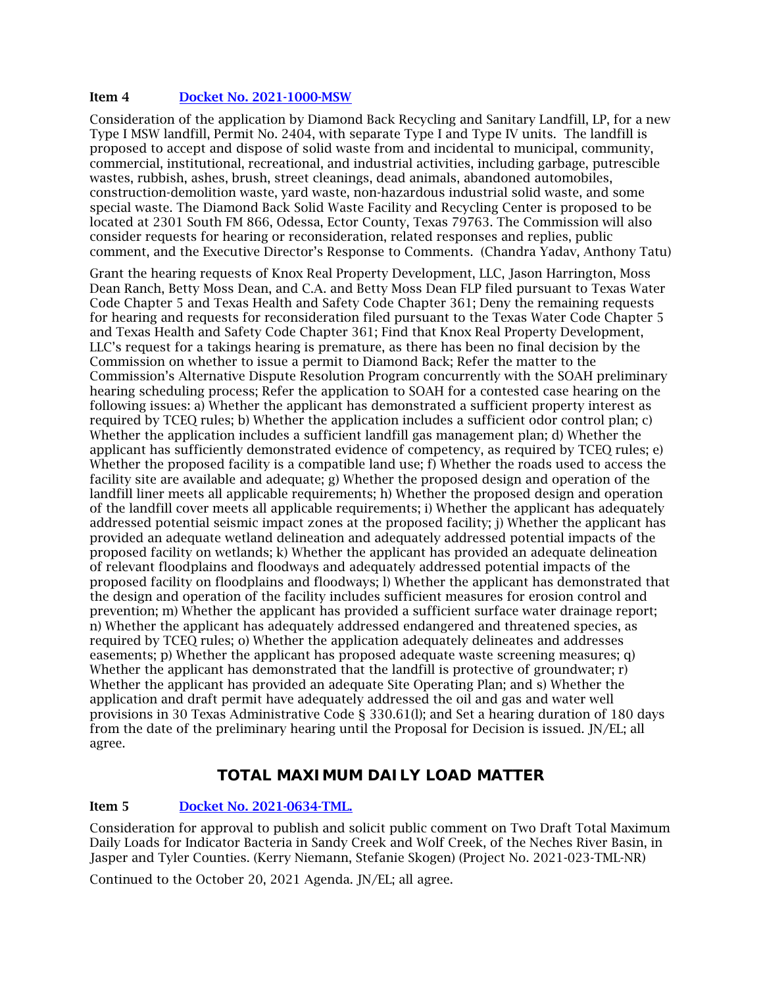#### Item 4 [Docket No. 2021-1000-MSW](http://www.tceq.texas.gov/assets/public/comm_exec/agendas/comm/backup/Agendas/2021/10-06-2021/diamond.pdf)

Consideration of the application by Diamond Back Recycling and Sanitary Landfill, LP, for a new Type I MSW landfill, Permit No. 2404, with separate Type I and Type IV units. The landfill is proposed to accept and dispose of solid waste from and incidental to municipal, community, commercial, institutional, recreational, and industrial activities, including garbage, putrescible wastes, rubbish, ashes, brush, street cleanings, dead animals, abandoned automobiles, construction-demolition waste, yard waste, non-hazardous industrial solid waste, and some special waste. The Diamond Back Solid Waste Facility and Recycling Center is proposed to be located at 2301 South FM 866, Odessa, Ector County, Texas 79763. The Commission will also consider requests for hearing or reconsideration, related responses and replies, public comment, and the Executive Director's Response to Comments. (Chandra Yadav, Anthony Tatu)

Grant the hearing requests of Knox Real Property Development, LLC, Jason Harrington, Moss Dean Ranch, Betty Moss Dean, and C.A. and Betty Moss Dean FLP filed pursuant to Texas Water Code Chapter 5 and Texas Health and Safety Code Chapter 361; Deny the remaining requests for hearing and requests for reconsideration filed pursuant to the Texas Water Code Chapter 5 and Texas Health and Safety Code Chapter 361; Find that Knox Real Property Development, LLC's request for a takings hearing is premature, as there has been no final decision by the Commission on whether to issue a permit to Diamond Back; Refer the matter to the Commission's Alternative Dispute Resolution Program concurrently with the SOAH preliminary hearing scheduling process; Refer the application to SOAH for a contested case hearing on the following issues: a) Whether the applicant has demonstrated a sufficient property interest as required by TCEQ rules; b) Whether the application includes a sufficient odor control plan; c) Whether the application includes a sufficient landfill gas management plan; d) Whether the applicant has sufficiently demonstrated evidence of competency, as required by TCEQ rules; e) Whether the proposed facility is a compatible land use; f) Whether the roads used to access the facility site are available and adequate; g) Whether the proposed design and operation of the landfill liner meets all applicable requirements; h) Whether the proposed design and operation of the landfill cover meets all applicable requirements; i) Whether the applicant has adequately addressed potential seismic impact zones at the proposed facility; j) Whether the applicant has provided an adequate wetland delineation and adequately addressed potential impacts of the proposed facility on wetlands; k) Whether the applicant has provided an adequate delineation of relevant floodplains and floodways and adequately addressed potential impacts of the proposed facility on floodplains and floodways; l) Whether the applicant has demonstrated that the design and operation of the facility includes sufficient measures for erosion control and prevention; m) Whether the applicant has provided a sufficient surface water drainage report; n) Whether the applicant has adequately addressed endangered and threatened species, as required by TCEQ rules; o) Whether the application adequately delineates and addresses easements; p) Whether the applicant has proposed adequate waste screening measures; q) Whether the applicant has demonstrated that the landfill is protective of groundwater;  $r$ ) Whether the applicant has provided an adequate Site Operating Plan; and s) Whether the application and draft permit have adequately addressed the oil and gas and water well provisions in 30 Texas Administrative Code § 330.61(l); and Set a hearing duration of 180 days from the date of the preliminary hearing until the Proposal for Decision is issued. JN/EL; all agree.

### **TOTAL MAXIMUM DAILY LOAD MATTER**

### Item 5 [Docket No. 2021-0634-TML.](http://www.tceq.texas.gov/assets/public/comm_exec/agendas/comm/backup/Agendas/2021/10-06-2021/0634TML.pdf)

Consideration for approval to publish and solicit public comment on Two Draft Total Maximum Daily Loads for Indicator Bacteria in Sandy Creek and Wolf Creek, of the Neches River Basin, in Jasper and Tyler Counties. (Kerry Niemann, Stefanie Skogen) (Project No. 2021-023-TML-NR)

Continued to the October 20, 2021 Agenda. JN/EL; all agree.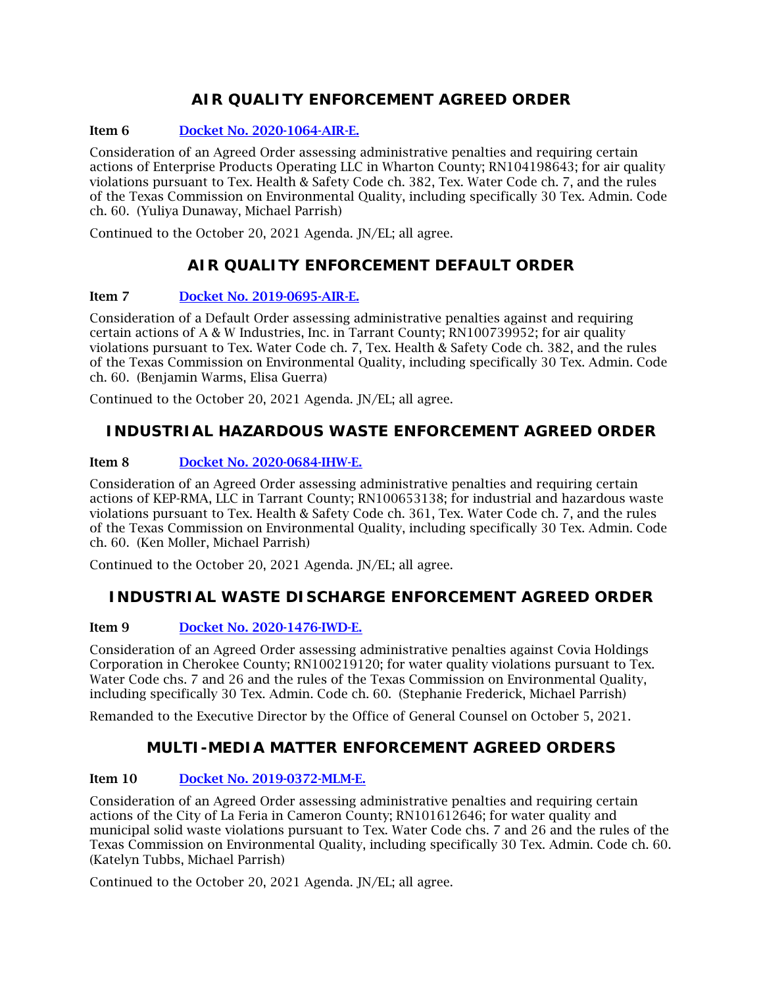# **AIR QUALITY ENFORCEMENT AGREED ORDER**

### Item 6 [Docket No. 2020-1064-AIR-E.](http://www.tceq.texas.gov/assets/public/comm_exec/agendas/comm/backup/Agendas/2021/10-06-2021/1064AIR.pdf)

Consideration of an Agreed Order assessing administrative penalties and requiring certain actions of Enterprise Products Operating LLC in Wharton County; RN104198643; for air quality violations pursuant to Tex. Health & Safety Code ch. 382, Tex. Water Code ch. 7, and the rules of the Texas Commission on Environmental Quality, including specifically 30 Tex. Admin. Code ch. 60. (Yuliya Dunaway, Michael Parrish)

Continued to the October 20, 2021 Agenda. JN/EL; all agree.

# **AIR QUALITY ENFORCEMENT DEFAULT ORDER**

### Item 7 [Docket No. 2019-0695-AIR-E.](http://www.tceq.texas.gov/assets/public/comm_exec/agendas/comm/backup/Agendas/2021/10-06-2021/0695AIR.pdf)

Consideration of a Default Order assessing administrative penalties against and requiring certain actions of A & W Industries, Inc. in Tarrant County; RN100739952; for air quality violations pursuant to Tex. Water Code ch. 7, Tex. Health & Safety Code ch. 382, and the rules of the Texas Commission on Environmental Quality, including specifically 30 Tex. Admin. Code ch. 60. (Benjamin Warms, Elisa Guerra)

Continued to the October 20, 2021 Agenda. JN/EL; all agree.

# **INDUSTRIAL HAZARDOUS WASTE ENFORCEMENT AGREED ORDER**

### Item 8 [Docket No. 2020-0684-IHW-E.](http://www.tceq.texas.gov/assets/public/comm_exec/agendas/comm/backup/Agendas/2021/10-06-2021/0684IHW.pdf)

Consideration of an Agreed Order assessing administrative penalties and requiring certain actions of KEP-RMA, LLC in Tarrant County; RN100653138; for industrial and hazardous waste violations pursuant to Tex. Health & Safety Code ch. 361, Tex. Water Code ch. 7, and the rules of the Texas Commission on Environmental Quality, including specifically 30 Tex. Admin. Code ch. 60. (Ken Moller, Michael Parrish)

Continued to the October 20, 2021 Agenda. JN/EL; all agree.

# **INDUSTRIAL WASTE DISCHARGE ENFORCEMENT AGREED ORDER**

### Item 9 [Docket No. 2020-1476-IWD-E.](http://www.tceq.texas.gov/assets/public/comm_exec/agendas/comm/backup/Agendas/2021/10-06-2021/1476IWD.pdf)

Consideration of an Agreed Order assessing administrative penalties against Covia Holdings Corporation in Cherokee County; RN100219120; for water quality violations pursuant to Tex. Water Code chs. 7 and 26 and the rules of the Texas Commission on Environmental Quality, including specifically 30 Tex. Admin. Code ch. 60. (Stephanie Frederick, Michael Parrish)

Remanded to the Executive Director by the Office of General Counsel on October 5, 2021.

### **MULTI-MEDIA MATTER ENFORCEMENT AGREED ORDERS**

#### Item 10 [Docket No. 2019-0372-MLM-E.](http://www.tceq.texas.gov/assets/public/comm_exec/agendas/comm/backup/Agendas/2021/10-06-2021/0372MLM.pdf)

Consideration of an Agreed Order assessing administrative penalties and requiring certain actions of the City of La Feria in Cameron County; RN101612646; for water quality and municipal solid waste violations pursuant to Tex. Water Code chs. 7 and 26 and the rules of the Texas Commission on Environmental Quality, including specifically 30 Tex. Admin. Code ch. 60. (Katelyn Tubbs, Michael Parrish)

Continued to the October 20, 2021 Agenda. JN/EL; all agree.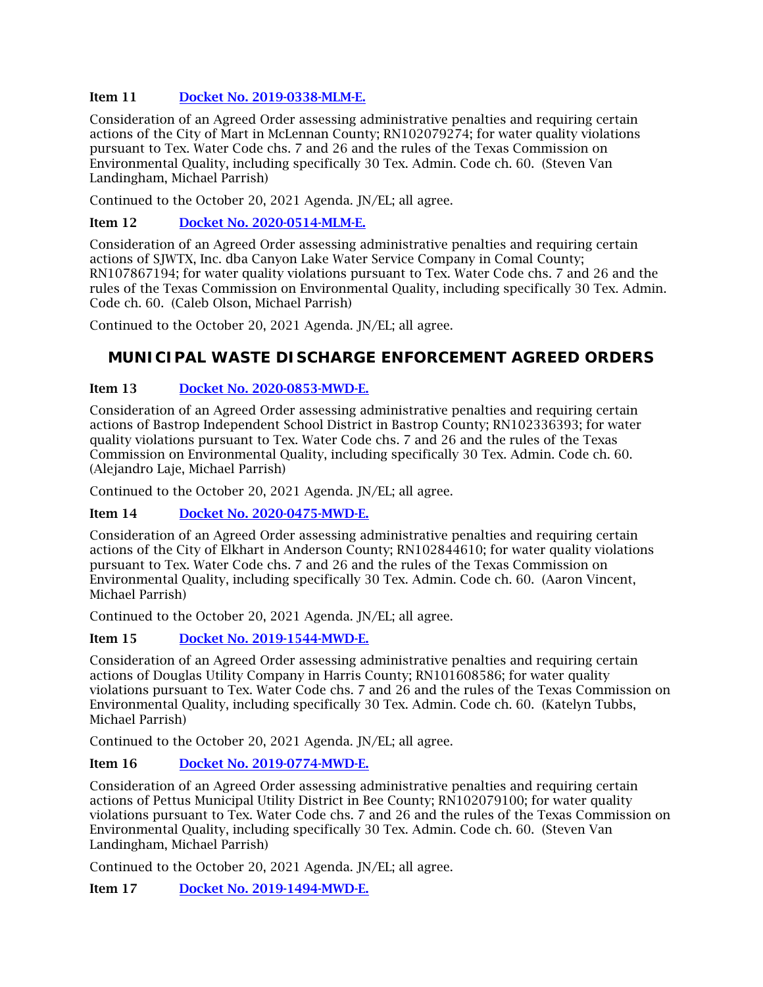### Item 11 [Docket No. 2019-0338-MLM-E.](http://www.tceq.texas.gov/assets/public/comm_exec/agendas/comm/backup/Agendas/2021/10-06-2021/0338MLM.pdf)

Consideration of an Agreed Order assessing administrative penalties and requiring certain actions of the City of Mart in McLennan County; RN102079274; for water quality violations pursuant to Tex. Water Code chs. 7 and 26 and the rules of the Texas Commission on Environmental Quality, including specifically 30 Tex. Admin. Code ch. 60. (Steven Van Landingham, Michael Parrish)

Continued to the October 20, 2021 Agenda. JN/EL; all agree.

#### Item 12 [Docket No. 2020-0514-MLM-E.](http://www.tceq.texas.gov/assets/public/comm_exec/agendas/comm/backup/Agendas/2021/10-06-2021/0514MLM.pdf)

Consideration of an Agreed Order assessing administrative penalties and requiring certain actions of SJWTX, Inc. dba Canyon Lake Water Service Company in Comal County; RN107867194; for water quality violations pursuant to Tex. Water Code chs. 7 and 26 and the rules of the Texas Commission on Environmental Quality, including specifically 30 Tex. Admin. Code ch. 60. (Caleb Olson, Michael Parrish)

Continued to the October 20, 2021 Agenda. JN/EL; all agree.

## **MUNICIPAL WASTE DISCHARGE ENFORCEMENT AGREED ORDERS**

#### Item 13 [Docket No. 2020-0853-MWD-E.](http://www.tceq.texas.gov/assets/public/comm_exec/agendas/comm/backup/Agendas/2021/10-06-2021/0853MWD.pdf)

Consideration of an Agreed Order assessing administrative penalties and requiring certain actions of Bastrop Independent School District in Bastrop County; RN102336393; for water quality violations pursuant to Tex. Water Code chs. 7 and 26 and the rules of the Texas Commission on Environmental Quality, including specifically 30 Tex. Admin. Code ch. 60. (Alejandro Laje, Michael Parrish)

Continued to the October 20, 2021 Agenda. JN/EL; all agree.

#### Item 14 [Docket No. 2020-0475-MWD-E.](http://www.tceq.texas.gov/assets/public/comm_exec/agendas/comm/backup/Agendas/2021/10-06-2021/0475MWD.pdf)

Consideration of an Agreed Order assessing administrative penalties and requiring certain actions of the City of Elkhart in Anderson County; RN102844610; for water quality violations pursuant to Tex. Water Code chs. 7 and 26 and the rules of the Texas Commission on Environmental Quality, including specifically 30 Tex. Admin. Code ch. 60. (Aaron Vincent, Michael Parrish)

Continued to the October 20, 2021 Agenda. JN/EL; all agree.

#### Item 15 [Docket No. 2019-1544-MWD-E.](http://www.tceq.texas.gov/assets/public/comm_exec/agendas/comm/backup/Agendas/2021/10-06-2021/1544MWD.pdf)

Consideration of an Agreed Order assessing administrative penalties and requiring certain actions of Douglas Utility Company in Harris County; RN101608586; for water quality violations pursuant to Tex. Water Code chs. 7 and 26 and the rules of the Texas Commission on Environmental Quality, including specifically 30 Tex. Admin. Code ch. 60. (Katelyn Tubbs, Michael Parrish)

Continued to the October 20, 2021 Agenda. JN/EL; all agree.

#### Item 16 [Docket No. 2019-0774-MWD-E.](http://www.tceq.texas.gov/assets/public/comm_exec/agendas/comm/backup/Agendas/2021/10-06-2021/0774MWD.pdf)

Consideration of an Agreed Order assessing administrative penalties and requiring certain actions of Pettus Municipal Utility District in Bee County; RN102079100; for water quality violations pursuant to Tex. Water Code chs. 7 and 26 and the rules of the Texas Commission on Environmental Quality, including specifically 30 Tex. Admin. Code ch. 60. (Steven Van Landingham, Michael Parrish)

Continued to the October 20, 2021 Agenda. JN/EL; all agree.

Item 17 [Docket No. 2019-1494-MWD-E.](http://www.tceq.texas.gov/assets/public/comm_exec/agendas/comm/backup/Agendas/2021/10-06-2021/1494MWD.pdf)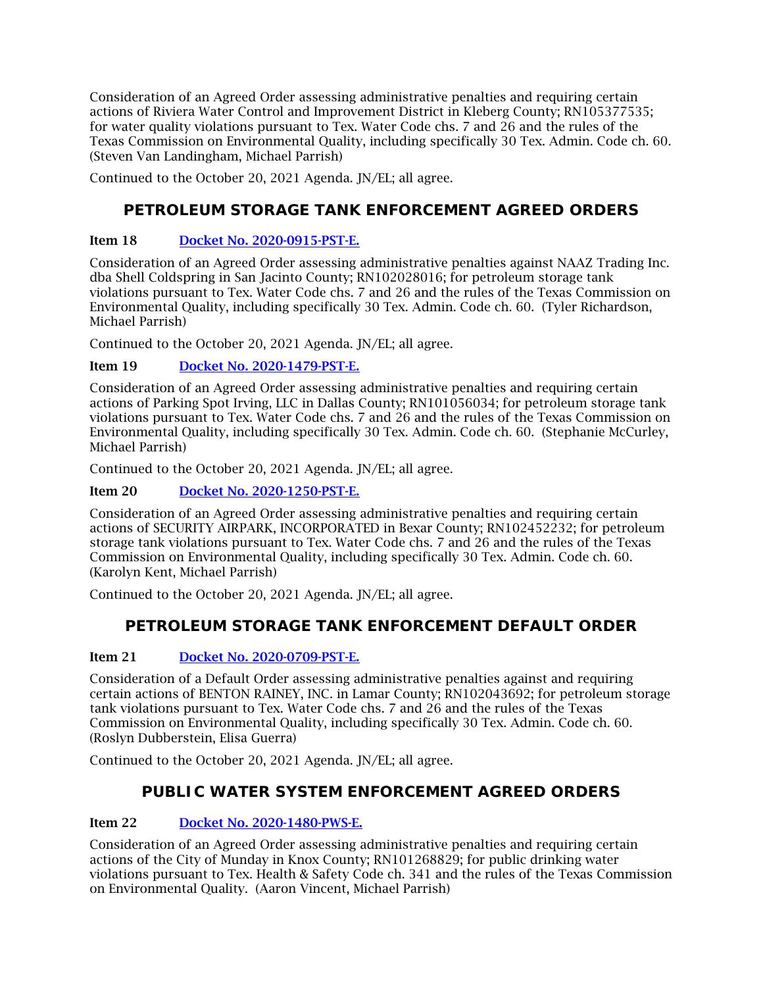Consideration of an Agreed Order assessing administrative penalties and requiring certain actions of Riviera Water Control and Improvement District in Kleberg County; RN105377535; for water quality violations pursuant to Tex. Water Code chs. 7 and 26 and the rules of the Texas Commission on Environmental Quality, including specifically 30 Tex. Admin. Code ch. 60. (Steven Van Landingham, Michael Parrish)

Continued to the October 20, 2021 Agenda. JN/EL; all agree.

# **PETROLEUM STORAGE TANK ENFORCEMENT AGREED ORDERS**

### Item 18 [Docket No. 2020-0915-PST-E.](http://www.tceq.texas.gov/assets/public/comm_exec/agendas/comm/backup/Agendas/2021/10-06-2021/0915PST.pdf)

Consideration of an Agreed Order assessing administrative penalties against NAAZ Trading Inc. dba Shell Coldspring in San Jacinto County; RN102028016; for petroleum storage tank violations pursuant to Tex. Water Code chs. 7 and 26 and the rules of the Texas Commission on Environmental Quality, including specifically 30 Tex. Admin. Code ch. 60. (Tyler Richardson, Michael Parrish)

Continued to the October 20, 2021 Agenda. JN/EL; all agree.

### Item 19 [Docket No. 2020-1479-PST-E.](http://www.tceq.texas.gov/assets/public/comm_exec/agendas/comm/backup/Agendas/2021/10-06-2021/1479PST.pdf)

Consideration of an Agreed Order assessing administrative penalties and requiring certain actions of Parking Spot Irving, LLC in Dallas County; RN101056034; for petroleum storage tank violations pursuant to Tex. Water Code chs. 7 and 26 and the rules of the Texas Commission on Environmental Quality, including specifically 30 Tex. Admin. Code ch. 60. (Stephanie McCurley, Michael Parrish)

Continued to the October 20, 2021 Agenda. JN/EL; all agree.

Item 20 [Docket No. 2020-1250-PST-E.](http://www.tceq.texas.gov/assets/public/comm_exec/agendas/comm/backup/Agendas/2021/10-06-2021/1250PST.pdf)

Consideration of an Agreed Order assessing administrative penalties and requiring certain actions of SECURITY AIRPARK, INCORPORATED in Bexar County; RN102452232; for petroleum storage tank violations pursuant to Tex. Water Code chs. 7 and 26 and the rules of the Texas Commission on Environmental Quality, including specifically 30 Tex. Admin. Code ch. 60. (Karolyn Kent, Michael Parrish)

Continued to the October 20, 2021 Agenda. JN/EL; all agree.

# **PETROLEUM STORAGE TANK ENFORCEMENT DEFAULT ORDER**

### Item 21 [Docket No. 2020-0709-PST-E.](http://www.tceq.texas.gov/assets/public/comm_exec/agendas/comm/backup/Agendas/2021/10-06-2021/0709PST.pdf)

Consideration of a Default Order assessing administrative penalties against and requiring certain actions of BENTON RAINEY, INC. in Lamar County; RN102043692; for petroleum storage tank violations pursuant to Tex. Water Code chs. 7 and 26 and the rules of the Texas Commission on Environmental Quality, including specifically 30 Tex. Admin. Code ch. 60. (Roslyn Dubberstein, Elisa Guerra)

Continued to the October 20, 2021 Agenda. JN/EL; all agree.

# **PUBLIC WATER SYSTEM ENFORCEMENT AGREED ORDERS**

### Item 22 [Docket No. 2020-1480-PWS-E.](http://www.tceq.texas.gov/assets/public/comm_exec/agendas/comm/backup/Agendas/2021/10-06-2021/1480PWS.pdf)

Consideration of an Agreed Order assessing administrative penalties and requiring certain actions of the City of Munday in Knox County; RN101268829; for public drinking water violations pursuant to Tex. Health & Safety Code ch. 341 and the rules of the Texas Commission on Environmental Quality. (Aaron Vincent, Michael Parrish)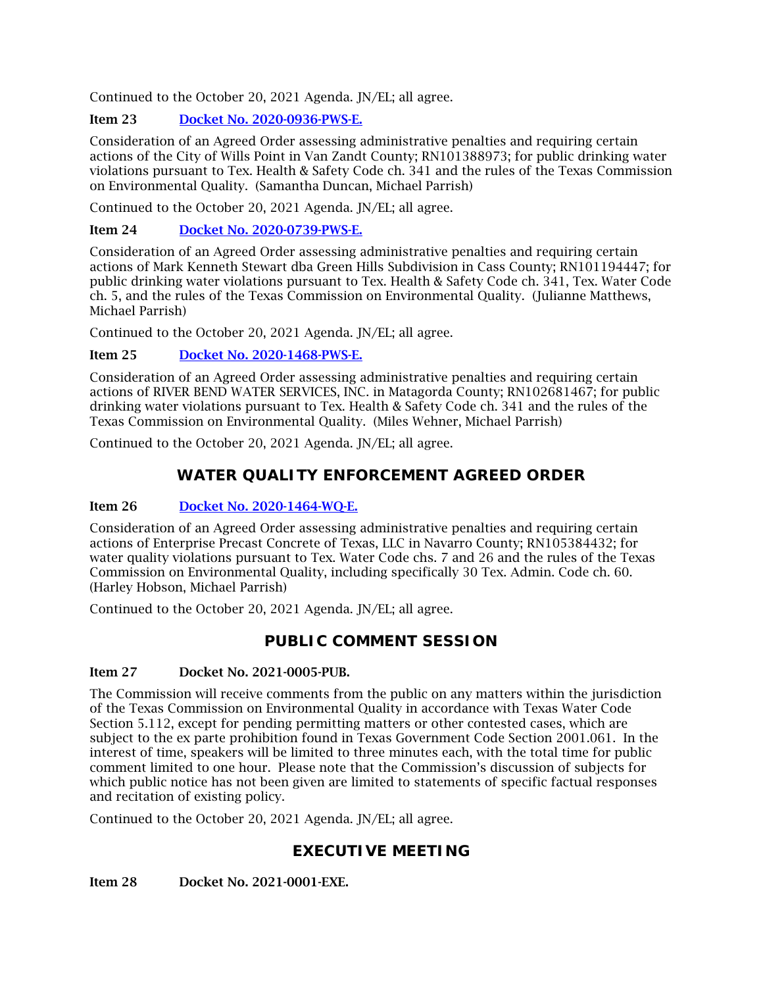Continued to the October 20, 2021 Agenda. JN/EL; all agree.

### Item 23 [Docket No. 2020-0936-PWS-E.](http://www.tceq.texas.gov/assets/public/comm_exec/agendas/comm/backup/Agendas/2021/10-06-2021/0936PWS.pdf)

Consideration of an Agreed Order assessing administrative penalties and requiring certain actions of the City of Wills Point in Van Zandt County; RN101388973; for public drinking water violations pursuant to Tex. Health & Safety Code ch. 341 and the rules of the Texas Commission on Environmental Quality. (Samantha Duncan, Michael Parrish)

Continued to the October 20, 2021 Agenda. JN/EL; all agree.

### Item 24 [Docket No. 2020-0739-PWS-E.](http://www.tceq.texas.gov/assets/public/comm_exec/agendas/comm/backup/Agendas/2021/10-06-2021/0739PWS.pdf)

Consideration of an Agreed Order assessing administrative penalties and requiring certain actions of Mark Kenneth Stewart dba Green Hills Subdivision in Cass County; RN101194447; for public drinking water violations pursuant to Tex. Health & Safety Code ch. 341, Tex. Water Code ch. 5, and the rules of the Texas Commission on Environmental Quality. (Julianne Matthews, Michael Parrish)

Continued to the October 20, 2021 Agenda. JN/EL; all agree.

### Item 25 [Docket No. 2020-1468-PWS-E.](http://www.tceq.texas.gov/assets/public/comm_exec/agendas/comm/backup/Agendas/2021/10-06-2021/1468PWS.pdf)

Consideration of an Agreed Order assessing administrative penalties and requiring certain actions of RIVER BEND WATER SERVICES, INC. in Matagorda County; RN102681467; for public drinking water violations pursuant to Tex. Health & Safety Code ch. 341 and the rules of the Texas Commission on Environmental Quality. (Miles Wehner, Michael Parrish)

Continued to the October 20, 2021 Agenda. JN/EL; all agree.

# **WATER QUALITY ENFORCEMENT AGREED ORDER**

### Item 26 [Docket No. 2020-1464-WQ-E.](http://www.tceq.texas.gov/assets/public/comm_exec/agendas/comm/backup/Agendas/2021/10-06-2021/1464WQ.pdf)

Consideration of an Agreed Order assessing administrative penalties and requiring certain actions of Enterprise Precast Concrete of Texas, LLC in Navarro County; RN105384432; for water quality violations pursuant to Tex. Water Code chs. 7 and 26 and the rules of the Texas Commission on Environmental Quality, including specifically 30 Tex. Admin. Code ch. 60. (Harley Hobson, Michael Parrish)

Continued to the October 20, 2021 Agenda. JN/EL; all agree.

### **PUBLIC COMMENT SESSION**

### Item 27 Docket No. 2021-0005-PUB.

The Commission will receive comments from the public on any matters within the jurisdiction of the Texas Commission on Environmental Quality in accordance with Texas Water Code Section 5.112, except for pending permitting matters or other contested cases, which are subject to the ex parte prohibition found in Texas Government Code Section 2001.061. In the interest of time, speakers will be limited to three minutes each, with the total time for public comment limited to one hour. Please note that the Commission's discussion of subjects for which public notice has not been given are limited to statements of specific factual responses and recitation of existing policy.

Continued to the October 20, 2021 Agenda. JN/EL; all agree.

# **EXECUTIVE MEETING**

<span id="page-6-0"></span>Item 28 Docket No. 2021-0001-EXE.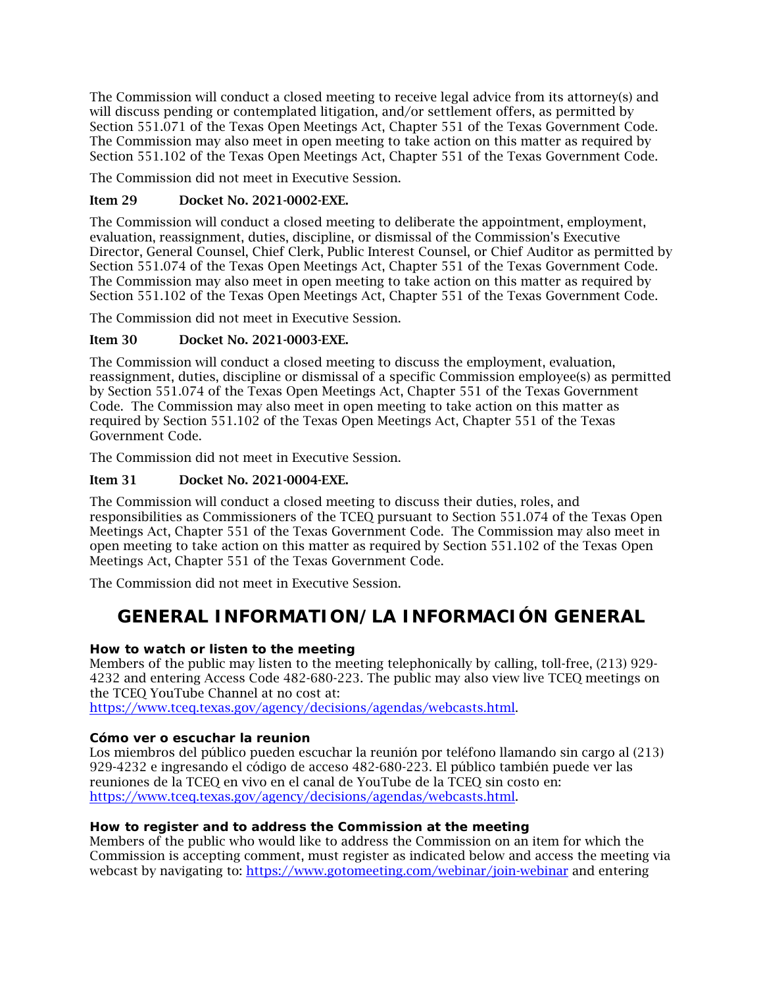The Commission will conduct a closed meeting to receive legal advice from its attorney(s) and will discuss pending or contemplated litigation, and/or settlement offers, as permitted by Section 551.071 of the Texas Open Meetings Act, Chapter 551 of the Texas Government Code. The Commission may also meet in open meeting to take action on this matter as required by Section 551.102 of the Texas Open Meetings Act, Chapter 551 of the Texas Government Code.

The Commission did not meet in Executive Session.

### Item 29 Docket No. 2021-0002-EXE.

The Commission will conduct a closed meeting to deliberate the appointment, employment, evaluation, reassignment, duties, discipline, or dismissal of the Commission's Executive Director, General Counsel, Chief Clerk, Public Interest Counsel, or Chief Auditor as permitted by Section 551.074 of the Texas Open Meetings Act, Chapter 551 of the Texas Government Code. The Commission may also meet in open meeting to take action on this matter as required by Section 551.102 of the Texas Open Meetings Act, Chapter 551 of the Texas Government Code.

The Commission did not meet in Executive Session.

### Item 30 Docket No. 2021-0003-EXE.

The Commission will conduct a closed meeting to discuss the employment, evaluation, reassignment, duties, discipline or dismissal of a specific Commission employee(s) as permitted by Section 551.074 of the Texas Open Meetings Act, Chapter 551 of the Texas Government Code. The Commission may also meet in open meeting to take action on this matter as required by Section 551.102 of the Texas Open Meetings Act, Chapter 551 of the Texas Government Code.

The Commission did not meet in Executive Session.

### Item 31 Docket No. 2021-0004-EXE.

The Commission will conduct a closed meeting to discuss their duties, roles, and responsibilities as Commissioners of the TCEQ pursuant to Section 551.074 of the Texas Open Meetings Act, Chapter 551 of the Texas Government Code. The Commission may also meet in open meeting to take action on this matter as required by Section 551.102 of the Texas Open Meetings Act, Chapter 551 of the Texas Government Code.

The Commission did not meet in Executive Session.

# **GENERAL INFORMATION/LA INFORMACIÓN GENERAL**

### **How to watch or listen to the meeting**

Members of the public may listen to the meeting telephonically by calling, toll-free, (213) 929- 4232 and entering Access Code 482-680-223. The public may also view live TCEQ meetings on the TCEQ YouTube Channel at no cost at:

[https://www.tceq.texas.gov/agency/decisions/agendas/webcasts.html.](https://www.tceq.texas.gov/agency/decisions/agendas/webcasts.html)

### **Cómo ver o escuchar la reunion**

Los miembros del público pueden escuchar la reunión por teléfono llamando sin cargo al (213) 929-4232 e ingresando el código de acceso 482-680-223. El público también puede ver las reuniones de la TCEQ en vivo en el canal de YouTube de la TCEQ sin costo en: [https://www.tceq.texas.gov/agency/decisions/agendas/webcasts.html.](https://www.tceq.texas.gov/agency/decisions/agendas/webcasts.html)

### **How to register and to address the Commission at the meeting**

Members of the public who would like to address the Commission on an item for which the Commission is accepting comment, must register as indicated below and access the meeting via webcast by navigating to:<https://www.gotomeeting.com/webinar/join-webinar> and entering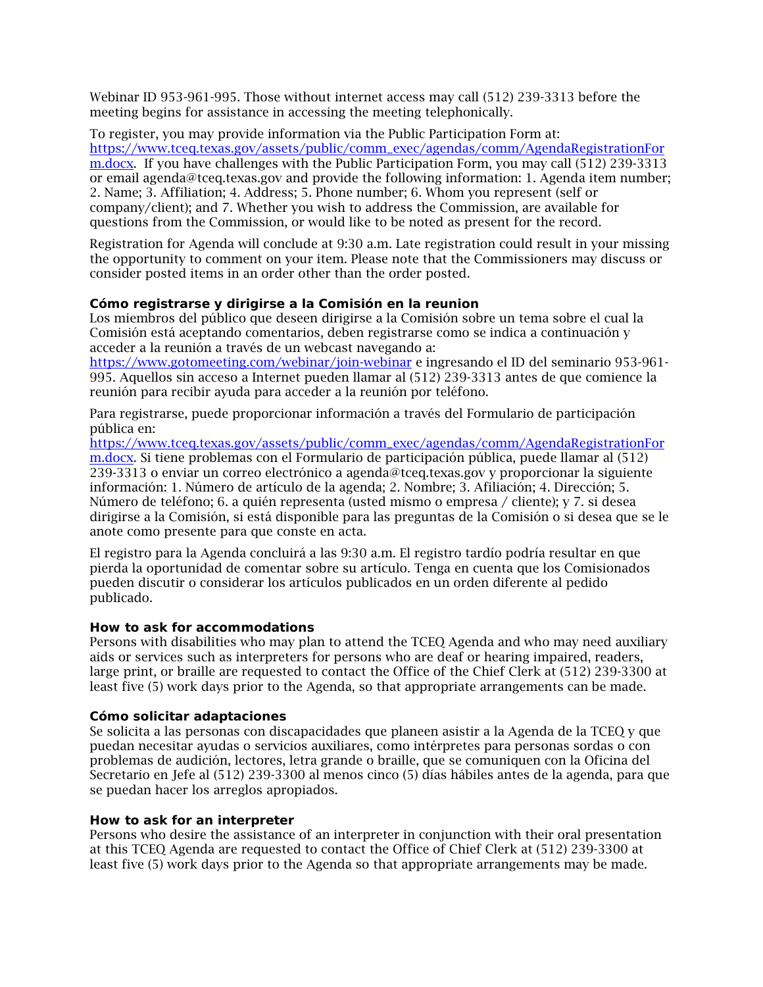Webinar ID 953-961-995. Those without internet access may call (512) 239-3313 before the meeting begins for assistance in accessing the meeting telephonically.

To register, you may provide information via the Public Participation Form at: [https://www.tceq.texas.gov/assets/public/comm\\_exec/agendas/comm/AgendaRegistrationFor](https://www.tceq.texas.gov/assets/public/comm_exec/agendas/comm/AgendaRegistrationForm.docx) [m.docx.](https://www.tceq.texas.gov/assets/public/comm_exec/agendas/comm/AgendaRegistrationForm.docx) If you have challenges with the Public Participation Form, you may call (512) 239-3313 or email agenda@tceq.texas.gov and provide the following information: 1. Agenda item number; 2. Name; 3. Affiliation; 4. Address; 5. Phone number; 6. Whom you represent (self or company/client); and 7. Whether you wish to address the Commission, are available for questions from the Commission, or would like to be noted as present for the record.

Registration for Agenda will conclude at 9:30 a.m. Late registration could result in your missing the opportunity to comment on your item. Please note that the Commissioners may discuss or consider posted items in an order other than the order posted.

#### **Cómo registrarse y dirigirse a la Comisión en la reunion**

Los miembros del público que deseen dirigirse a la Comisión sobre un tema sobre el cual la Comisión está aceptando comentarios, deben registrarse como se indica a continuación y acceder a la reunión a través de un webcast navegando a:

<https://www.gotomeeting.com/webinar/join-webinar> e ingresando el ID del seminario 953-961- 995. Aquellos sin acceso a Internet pueden llamar al (512) 239-3313 antes de que comience la reunión para recibir ayuda para acceder a la reunión por teléfono.

Para registrarse, puede proporcionar información a través del Formulario de participación pública en:

[https://www.tceq.texas.gov/assets/public/comm\\_exec/agendas/comm/AgendaRegistrationFor](https://www.tceq.texas.gov/assets/public/comm_exec/agendas/comm/AgendaRegistrationForm.docx) [m.docx.](https://www.tceq.texas.gov/assets/public/comm_exec/agendas/comm/AgendaRegistrationForm.docx) Si tiene problemas con el Formulario de participación pública, puede llamar al (512) 239-3313 o enviar un correo electrónico a agenda@tceq.texas.gov y proporcionar la siguiente información: 1. Número de artículo de la agenda; 2. Nombre; 3. Afiliación; 4. Dirección; 5. Número de teléfono; 6. a quién representa (usted mismo o empresa / cliente); y 7. si desea dirigirse a la Comisión, si está disponible para las preguntas de la Comisión o si desea que se le anote como presente para que conste en acta.

El registro para la Agenda concluirá a las 9:30 a.m. El registro tardío podría resultar en que pierda la oportunidad de comentar sobre su artículo. Tenga en cuenta que los Comisionados pueden discutir o considerar los artículos publicados en un orden diferente al pedido publicado.

#### **How to ask for accommodations**

Persons with disabilities who may plan to attend the TCEQ Agenda and who may need auxiliary aids or services such as interpreters for persons who are deaf or hearing impaired, readers, large print, or braille are requested to contact the Office of the Chief Clerk at (512) 239-3300 at least five (5) work days prior to the Agenda, so that appropriate arrangements can be made.

#### **Cómo solicitar adaptaciones**

Se solicita a las personas con discapacidades que planeen asistir a la Agenda de la TCEQ y que puedan necesitar ayudas o servicios auxiliares, como intérpretes para personas sordas o con problemas de audición, lectores, letra grande o braille, que se comuniquen con la Oficina del Secretario en Jefe al (512) 239-3300 al menos cinco (5) días hábiles antes de la agenda, para que se puedan hacer los arreglos apropiados.

#### **How to ask for an interpreter**

Persons who desire the assistance of an interpreter in conjunction with their oral presentation at this TCEQ Agenda are requested to contact the Office of Chief Clerk at (512) 239-3300 at least five (5) work days prior to the Agenda so that appropriate arrangements may be made.